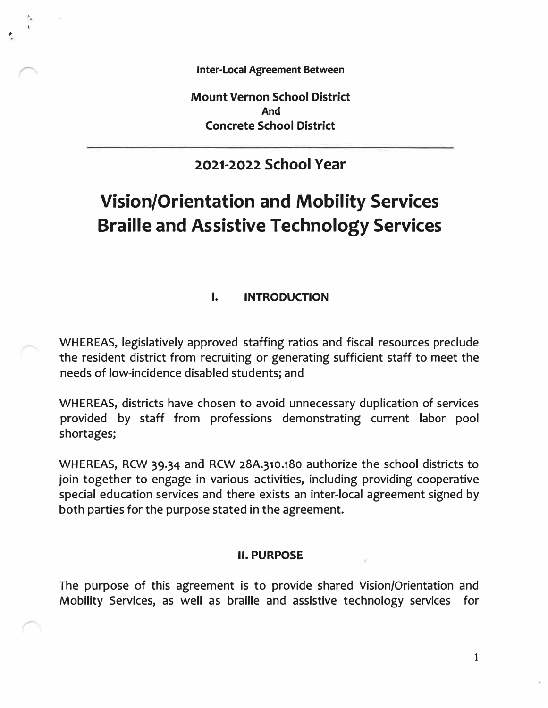**Inter-Local Agreement Between** 

*I* 

**Mount Vernon School District And Concrete School District** 

# **2021-2022 School Year**

# **Vision/Orientation and Mobility Services Braille and Assistive Technology Services**

## **I. INTRODUCTION**

WHEREAS, legislatively approved staffing ratios and fiscal resources preclude the resident district from recruiting or generating sufficient staff to meet the needs of low-incidence disabled students; and

WHEREAS, districts have chosen to avoid unnecessary duplication of services provided by staff from professions demonstrating current labor pool shortages;

WHEREAS, RCW 39.34 and RCW 28A.310.180 authorize the school districts to join together to engage in various activities, including providing cooperative special education services and there exists an inter-local agreement signed by both parties for the purpose stated in the agreement.

#### **II. PURPOSE**

The purpose of this agreement is to provide shared Vision/Orientation and Mobility Services, as well as braille and assistive technology services for

1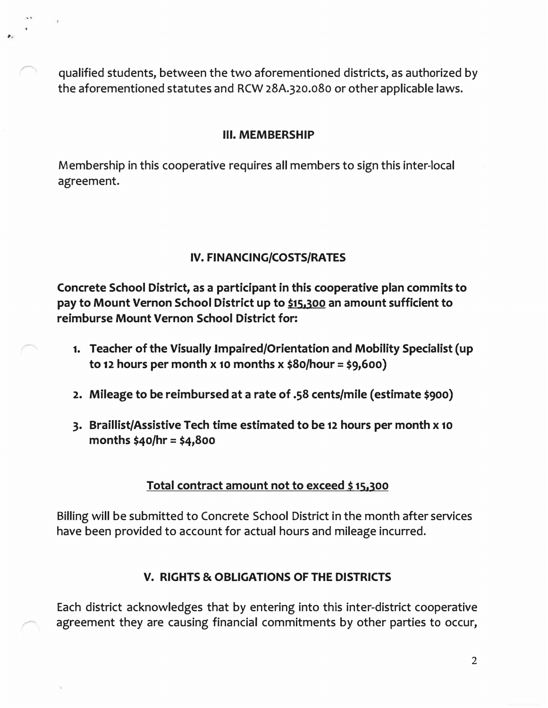qualified students, between the two aforementioned districts, as authorized by the aforementioned statutes and RCW 28A.320.080 or other applicable laws.

## **Ill. MEMBERSHIP**

Membership in this cooperative requires all members to sign this inter-local agreement.

# **IV. FINANCING/COSTS/RATES**

**Concrete School District, as a participant in this cooperative plan commits to pay to Mount Vernon School District up to \$15,300 an amount sufficient to reimburse Mount Vernon School District for:** 

- **1. Teacher of the Visually Jmpaired/Orientation and Mobility Specialist (up to 12 hours per month x 10 months x \$So/hour= \$9,600)**
- **2. Mileage to be reimbursed at a rate of .58 cents/mile ( estimate \$900)**
- **3. Braillist/Assistive Tech time estimated to be 12 hours per month x 10 months \$40/hr = \$4,800**

# **Total contract amount not to exceed \$15,300**

Billing will be submitted to Concrete School District in the month after services have been provided to account for actual hours and mileage incurred.

# **V. RIGHTS & OBLIGATIONS OF THE DISTRICTS**

Each district acknowledges that by entering into this inter-district cooperative agreement they are causing financial commitments by other parties to occur,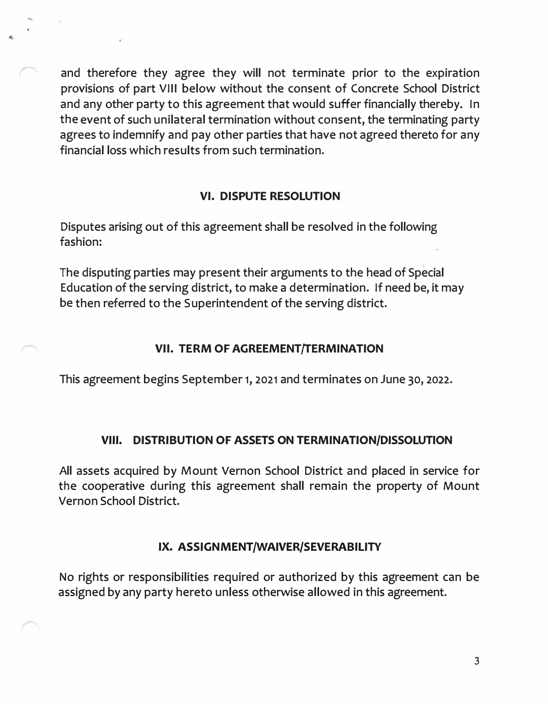and therefore they agree they will not terminate prior to the expiration provisions of part VIII below without the consent of Concrete School District and any other party to this agreement that would suffer financially thereby. In the event of such unilateral termination without consent, the terminating party agrees to indemnify and pay other parties that have not agreed thereto for any financial loss which results from such termination.

## **VI. DISPUTE RESOLUTION**

Disputes arising out of this agreement shall be resolved in the following fashion:

The disputing parties may present their arguments to the head of Special Education of the serving district, to make a determination. If need be, it may be then referred to the Superintendent of the serving district.

#### **VII. TERM OF AGREEMENT/TERMINATION**

This agreement begins September **1, 2021** and terminates on June **30, 2022.** 

#### **VIII. DISTRIBUTION OF ASSETS ON TERMINATION/DISSOLUTION**

All assets acquired by Mount Vernon School District and placed in service for the cooperative during this agreement shall remain the property of Mount Vernon School District.

## **IX. ASSIGNMENT/WAIVER/SEVERABILITY**

No rights or responsibilities required or authorized by this agreement can be assigned by any party hereto unless otherwise allowed in this agreement.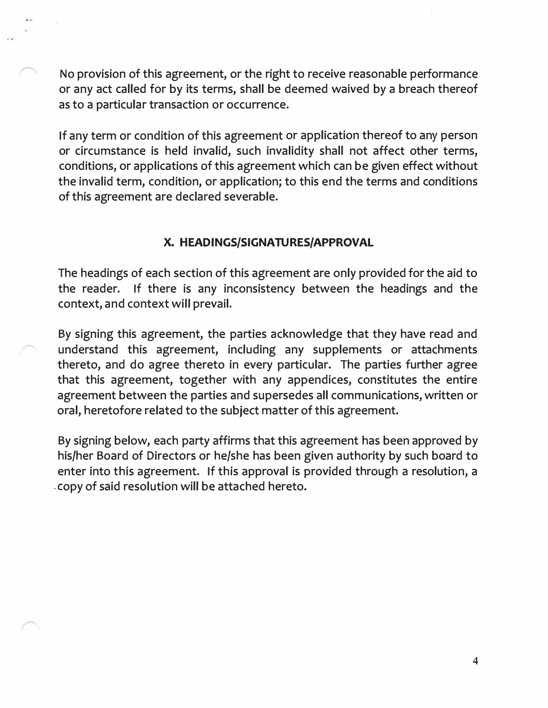No provision of this agreement, or the right to receive reasonable performance or any act called for by its terms, shall be deemed waived by a breach thereof as to a particular transaction or occurrence.

If any term or condition of this agreement or application thereof to any person or circumstance is held invalid, such invalidity shall not affect other terms, conditions, or applications of this agreement which can be given effect without the invalid term, condition, or application; to this end the terms and conditions of this agreement are declared severable.

#### **X. HEADINGS/SIGNATURES/APPROVAL**

The headings of each section of this agreement are only provided for the aid to the reader. If there is any inconsistency between the headings and the context, and context will prevail.

By signing this agreement, the parties acknowledge that they have read and understand this agreement, including any supplements or attachments thereto, and do agree thereto in every particular. The parties further agree that this agreement, together with any appendices, constitutes the entire agreement between the parties and supersedes all communications, written or oral, heretofore related to the subject matter of this agreement.

By signing below, each party affirms that this agreement has been approved by his/her Board of Directors or he/she has been given authority by such board to enter into this agreement. If this approval is provided through a resolution, a -Copy of said resolution will be attached hereto.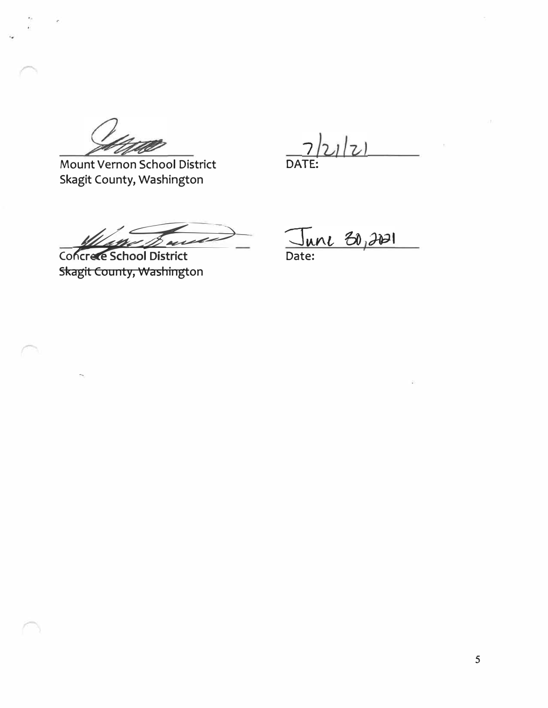Mount Vernon School District Skagit County, Washington

 $1|z|$ DATE:

Concrée School District

Skagit County, Washington